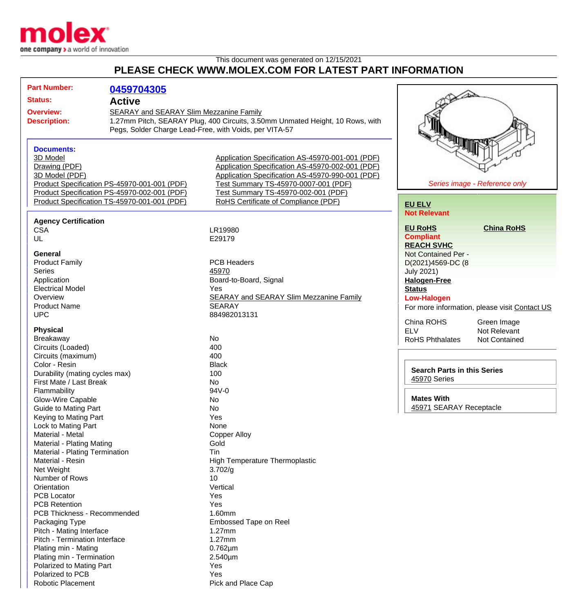

## This document was generated on 12/15/2021 **PLEASE CHECK WWW.MOLEX.COM FOR LATEST PART INFORMATION**

|                                                     | <b>Part Number:</b>                |                                              |                                                                               |                         |                                               |  |
|-----------------------------------------------------|------------------------------------|----------------------------------------------|-------------------------------------------------------------------------------|-------------------------|-----------------------------------------------|--|
|                                                     |                                    | 0459704305                                   |                                                                               |                         |                                               |  |
| <b>Status:</b><br><b>Active</b><br><b>Overview:</b> |                                    |                                              |                                                                               |                         |                                               |  |
|                                                     |                                    | SEARAY and SEARAY Slim Mezzanine Family      |                                                                               |                         |                                               |  |
|                                                     | <b>Description:</b>                |                                              | 1.27mm Pitch, SEARAY Plug, 400 Circuits, 3.50mm Unmated Height, 10 Rows, with |                         |                                               |  |
|                                                     |                                    |                                              | Pegs, Solder Charge Lead-Free, with Voids, per VITA-57                        |                         |                                               |  |
|                                                     |                                    |                                              |                                                                               |                         |                                               |  |
|                                                     | <b>Documents:</b>                  |                                              |                                                                               | <b>PARTIES</b>          |                                               |  |
|                                                     |                                    |                                              | Application Specification AS-45970-001-001 (PDF)                              |                         |                                               |  |
|                                                     | 3D Model                           |                                              |                                                                               |                         |                                               |  |
|                                                     | Drawing (PDF)                      |                                              | Application Specification AS-45970-002-001 (PDF)                              |                         |                                               |  |
|                                                     | 3D Model (PDF)                     |                                              | Application Specification AS-45970-990-001 (PDF)                              |                         |                                               |  |
|                                                     |                                    | Product Specification PS-45970-001-001 (PDF) | Test Summary TS-45970-0007-001 (PDF)                                          |                         | Series image - Reference only                 |  |
|                                                     |                                    | Product Specification PS-45970-002-001 (PDF) | Test Summary TS-45970-002-001 (PDF)                                           |                         |                                               |  |
|                                                     |                                    | Product Specification TS-45970-001-001 (PDF) | RoHS Certificate of Compliance (PDF)                                          | <b>EU ELV</b>           |                                               |  |
|                                                     |                                    |                                              |                                                                               | <b>Not Relevant</b>     |                                               |  |
|                                                     | <b>Agency Certification</b>        |                                              |                                                                               |                         |                                               |  |
|                                                     | <b>CSA</b>                         |                                              | LR19980                                                                       | <b>EU RoHS</b>          | <b>China RoHS</b>                             |  |
|                                                     | UL                                 |                                              | E29179                                                                        | <b>Compliant</b>        |                                               |  |
|                                                     |                                    |                                              |                                                                               | <b>REACH SVHC</b>       |                                               |  |
|                                                     | <b>General</b>                     |                                              |                                                                               | Not Contained Per -     |                                               |  |
|                                                     | <b>Product Family</b>              |                                              | <b>PCB Headers</b>                                                            | D(2021)4569-DC (8       |                                               |  |
|                                                     | <b>Series</b>                      |                                              | 45970                                                                         | <b>July 2021)</b>       |                                               |  |
|                                                     | Application                        |                                              | Board-to-Board, Signal                                                        | <b>Halogen-Free</b>     |                                               |  |
|                                                     | <b>Electrical Model</b>            |                                              | Yes                                                                           | <b>Status</b>           |                                               |  |
|                                                     | Overview                           |                                              | <b>SEARAY and SEARAY Slim Mezzanine Family</b>                                | <b>Low-Halogen</b>      |                                               |  |
|                                                     | <b>Product Name</b>                |                                              | <b>SEARAY</b>                                                                 |                         | For more information, please visit Contact US |  |
|                                                     | <b>UPC</b>                         |                                              | 884982013131                                                                  |                         |                                               |  |
|                                                     |                                    |                                              |                                                                               | China ROHS              | Green Image                                   |  |
|                                                     | <b>Physical</b>                    |                                              |                                                                               | <b>ELV</b>              | Not Relevant                                  |  |
|                                                     | Breakaway                          |                                              | No                                                                            | <b>RoHS Phthalates</b>  | <b>Not Contained</b>                          |  |
|                                                     | Circuits (Loaded)                  |                                              | 400                                                                           |                         |                                               |  |
|                                                     | Circuits (maximum)                 |                                              | 400                                                                           |                         |                                               |  |
|                                                     | Color - Resin                      |                                              | <b>Black</b>                                                                  |                         |                                               |  |
| Durability (mating cycles max)                      |                                    |                                              | 100                                                                           |                         | <b>Search Parts in this Series</b>            |  |
|                                                     | First Mate / Last Break            |                                              | No                                                                            | 45970 Series            |                                               |  |
|                                                     | Flammability                       |                                              | 94V-0                                                                         |                         |                                               |  |
|                                                     | <b>Glow-Wire Capable</b>           |                                              | No                                                                            | <b>Mates With</b>       |                                               |  |
|                                                     | Guide to Mating Part               |                                              | No                                                                            | 45971 SEARAY Receptacle |                                               |  |
|                                                     | Keying to Mating Part              |                                              | Yes                                                                           |                         |                                               |  |
|                                                     | Lock to Mating Part                |                                              | None                                                                          |                         |                                               |  |
|                                                     | Material - Metal                   |                                              |                                                                               |                         |                                               |  |
|                                                     |                                    |                                              | <b>Copper Alloy</b>                                                           |                         |                                               |  |
|                                                     | <b>Material - Plating Mating</b>   |                                              | Gold                                                                          |                         |                                               |  |
|                                                     | Material - Plating Termination     |                                              | Tin                                                                           |                         |                                               |  |
|                                                     | Material - Resin                   |                                              | <b>High Temperature Thermoplastic</b>                                         |                         |                                               |  |
|                                                     | Net Weight                         |                                              | 3.702/g                                                                       |                         |                                               |  |
|                                                     | Number of Rows                     |                                              | 10                                                                            |                         |                                               |  |
|                                                     | Orientation                        |                                              | Vertical                                                                      |                         |                                               |  |
|                                                     | PCB Locator                        |                                              | Yes                                                                           |                         |                                               |  |
|                                                     | <b>PCB Retention</b>               |                                              | Yes                                                                           |                         |                                               |  |
|                                                     | <b>PCB Thickness - Recommended</b> |                                              | 1.60mm                                                                        |                         |                                               |  |
|                                                     | Packaging Type                     |                                              | Embossed Tape on Reel                                                         |                         |                                               |  |
|                                                     | Pitch - Mating Interface           |                                              | 1.27mm                                                                        |                         |                                               |  |
|                                                     | Pitch - Termination Interface      |                                              | 1.27mm                                                                        |                         |                                               |  |
|                                                     | Plating min - Mating               |                                              | $0.762 \mu m$                                                                 |                         |                                               |  |
|                                                     | Plating min - Termination          |                                              | 2.540µm                                                                       |                         |                                               |  |
|                                                     | Polarized to Mating Part           |                                              | Yes                                                                           |                         |                                               |  |
|                                                     | Polarized to PCB                   |                                              | Yes                                                                           |                         |                                               |  |
|                                                     | <b>Robotic Placement</b>           |                                              | Pick and Place Cap                                                            |                         |                                               |  |
|                                                     |                                    |                                              |                                                                               |                         |                                               |  |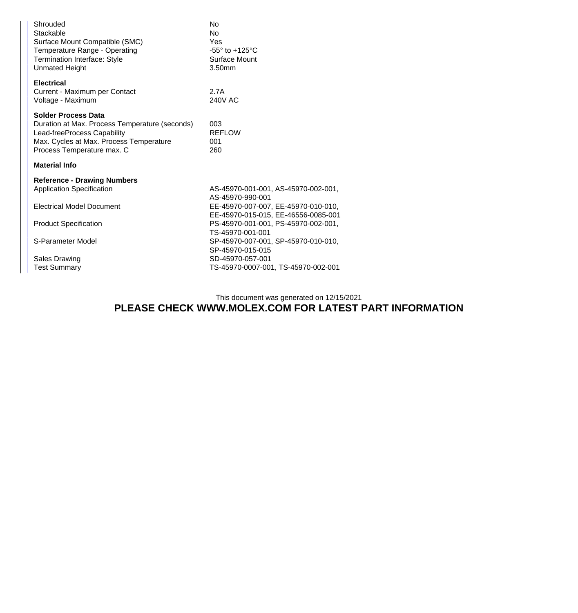| Shrouded<br>Stackable<br>Surface Mount Compatible (SMC)<br>Temperature Range - Operating<br>Termination Interface: Style<br><b>Unmated Height</b>                                    | No<br>No<br>Yes<br>$-55^\circ$ to $+125^\circ$ C<br>Surface Mount<br>3.50mm                    |  |  |  |
|--------------------------------------------------------------------------------------------------------------------------------------------------------------------------------------|------------------------------------------------------------------------------------------------|--|--|--|
| <b>Electrical</b><br>Current - Maximum per Contact<br>Voltage - Maximum                                                                                                              | 2.7A<br>240V AC                                                                                |  |  |  |
| <b>Solder Process Data</b><br>Duration at Max. Process Temperature (seconds)<br>Lead-freeProcess Capability<br>Max. Cycles at Max. Process Temperature<br>Process Temperature max. C | 003<br><b>REFLOW</b><br>001<br>260                                                             |  |  |  |
| <b>Material Info</b>                                                                                                                                                                 |                                                                                                |  |  |  |
| <b>Reference - Drawing Numbers</b><br><b>Application Specification</b>                                                                                                               | AS-45970-001-001, AS-45970-002-001,<br>AS-45970-990-001                                        |  |  |  |
| <b>Electrical Model Document</b>                                                                                                                                                     | EE-45970-007-007, EE-45970-010-010,                                                            |  |  |  |
| <b>Product Specification</b>                                                                                                                                                         | EE-45970-015-015, EE-46556-0085-001<br>PS-45970-001-001, PS-45970-002-001,<br>TS-45970-001-001 |  |  |  |
| S-Parameter Model                                                                                                                                                                    | SP-45970-007-001, SP-45970-010-010,<br>SP-45970-015-015                                        |  |  |  |
| <b>Sales Drawing</b><br><b>Test Summary</b>                                                                                                                                          | SD-45970-057-001<br>TS-45970-0007-001, TS-45970-002-001                                        |  |  |  |

## This document was generated on 12/15/2021 **PLEASE CHECK WWW.MOLEX.COM FOR LATEST PART INFORMATION**